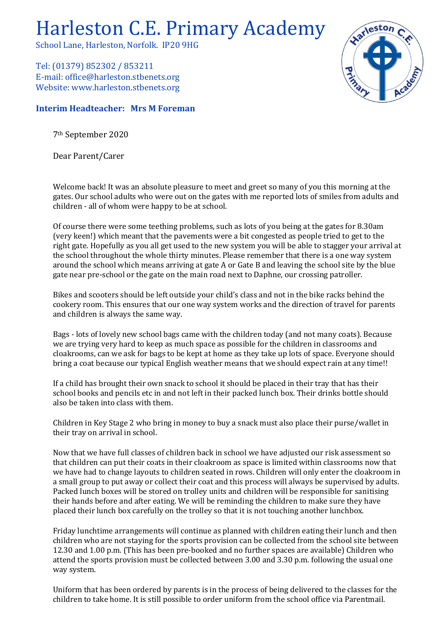## Harleston C.E. Primary Academy

School Lane, Harleston, Norfolk. IP20 9HG

Tel: (01379) 852302 / 853211 E-mail: office@harleston.stbenets.org Website: www.harleston.stbenets.org

## **Interim Headteacher: Mrs M Foreman**

7th September 2020

Dear Parent/Carer

Welcome back! It was an absolute pleasure to meet and greet so many of you this morning at the gates. Our school adults who were out on the gates with me reported lots of smiles from adults and children - all of whom were happy to be at school.

Of course there were some teething problems, such as lots of you being at the gates for 8.30am (very keen!) which meant that the pavements were a bit congested as people tried to get to the right gate. Hopefully as you all get used to the new system you will be able to stagger your arrival at the school throughout the whole thirty minutes. Please remember that there is a one way system around the school which means arriving at gate A or Gate B and leaving the school site by the blue gate near pre-school or the gate on the main road next to Daphne, our crossing patroller.

Bikes and scooters should be left outside your child's class and not in the bike racks behind the cookery room. This ensures that our one way system works and the direction of travel for parents and children is always the same way.

Bags - lots of lovely new school bags came with the children today (and not many coats). Because we are trying very hard to keep as much space as possible for the children in classrooms and cloakrooms, can we ask for bags to be kept at home as they take up lots of space. Everyone should bring a coat because our typical English weather means that we should expect rain at any time!!

If a child has brought their own snack to school it should be placed in their tray that has their school books and pencils etc in and not left in their packed lunch box. Their drinks bottle should also be taken into class with them.

Children in Key Stage 2 who bring in money to buy a snack must also place their purse/wallet in their tray on arrival in school.

Now that we have full classes of children back in school we have adjusted our risk assessment so that children can put their coats in their cloakroom as space is limited within classrooms now that we have had to change layouts to children seated in rows. Children will only enter the cloakroom in a small group to put away or collect their coat and this process will always be supervised by adults. Packed lunch boxes will be stored on trolley units and children will be responsible for sanitising their hands before and after eating. We will be reminding the children to make sure they have placed their lunch box carefully on the trolley so that it is not touching another lunchbox.

Friday lunchtime arrangements will continue as planned with children eating their lunch and then children who are not staying for the sports provision can be collected from the school site between 12.30 and 1.00 p.m. (This has been pre-booked and no further spaces are available) Children who attend the sports provision must be collected between 3.00 and 3.30 p.m. following the usual one way system.

Uniform that has been ordered by parents is in the process of being delivered to the classes for the children to take home. It is still possible to order uniform from the school office via Parentmail.